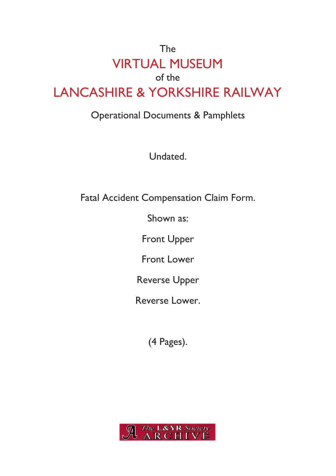## The VIRTUAL MUSEUM of the LANCASHIRE & YORKSHIRE RAILWAY

#### Operational Documents & Pamphlets

Undated.

Fatal Accident Compensation Claim Form.

Shown as:

Front Upper

Front Lower

Reverse Upper

Reverse Lower.

(4 Pages).

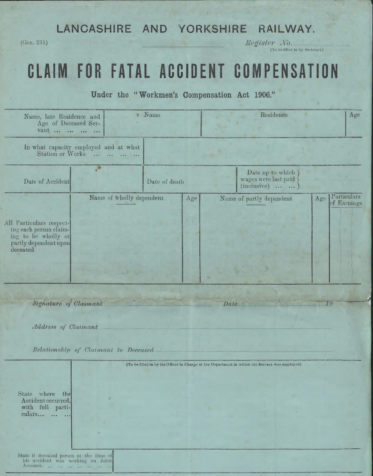#### **LANCASHIRE AND YORKSHIRE RAILWAY.**

(Gen. 231) *Register JVo*.

(To be filled in by Secretary)

# **CLAIM FOR FATAL ACCIDENT COMPENSATION**

**Under the " Workmen's Compensation Act 1906."**

| Name, late Residence and<br>Age of Deceased Ser-<br>vant                                                       |                                                             | <b>Name</b>   | Residence                                                                                      |                  | Age                            |
|----------------------------------------------------------------------------------------------------------------|-------------------------------------------------------------|---------------|------------------------------------------------------------------------------------------------|------------------|--------------------------------|
| Station or Works                                                                                               | In what capacity employed and at what<br>$\cdots$<br>$\sim$ |               |                                                                                                |                  |                                |
| Date of Accident                                                                                               |                                                             | Date of death | Date up to which<br>wages were last paid<br>$(inclusive) \dots$                                |                  |                                |
| All Particulars respect-<br>ing each person claim-<br>ing to be wholly or<br>partly dependent upon<br>deceased | Name of wholly dependent                                    | Age           | Name of partly dependent                                                                       |                  | Age Particulars<br>of Earnings |
| Signature of Claimant<br>Address of Claimant                                                                   |                                                             |               | Date_                                                                                          |                  | 19                             |
|                                                                                                                | Relationship of Claimant to Deceased                        |               |                                                                                                |                  |                                |
| State where the<br>Accident occurred,<br>with full parti-<br>culars                                            |                                                             |               | (To be filled in by the Officer in Charge of the Department in which the Servant was employed) |                  |                                |
| State if deceased person at the time of<br>his accident was working on Joint<br>Account.                       |                                                             |               |                                                                                                | <b>REAL PROP</b> |                                |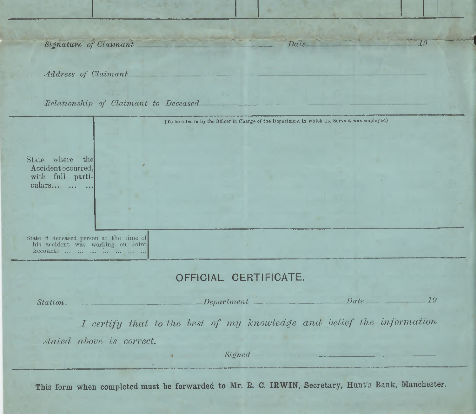$Signature$  *of Claimant Date* 

*Address of Claimant*

*Relationship of Claimant to Deceased*

|                                                                                          | (To be filled in by the Officer in Charge of the Department in which the Servant was employed) |            |  |
|------------------------------------------------------------------------------------------|------------------------------------------------------------------------------------------------|------------|--|
|                                                                                          |                                                                                                |            |  |
|                                                                                          |                                                                                                |            |  |
| State where the                                                                          |                                                                                                |            |  |
| Accident occurred,<br>with full parti-                                                   |                                                                                                |            |  |
| culars                                                                                   |                                                                                                |            |  |
|                                                                                          |                                                                                                |            |  |
|                                                                                          |                                                                                                |            |  |
|                                                                                          |                                                                                                |            |  |
| State if deceased person at the time of<br>his accident was working on Joint<br>Account. | OFFICIAL CERTIFICATE.                                                                          |            |  |
| Station                                                                                  | Department                                                                                     | 79<br>Date |  |
|                                                                                          | I certify that to the best of my knowledge and belief the information                          |            |  |
| stated above is correct.                                                                 |                                                                                                |            |  |
|                                                                                          |                                                                                                | Signed     |  |
|                                                                                          |                                                                                                |            |  |

Date

*i*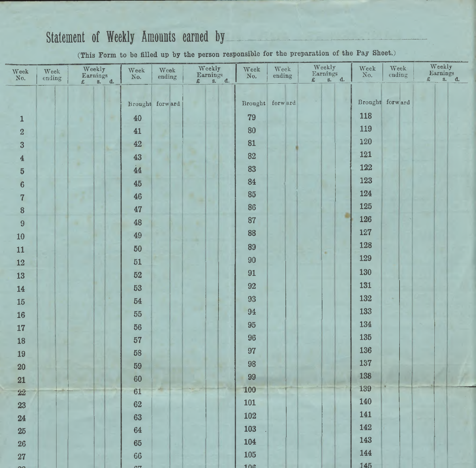### **Statement of Weekly Amounts earned by**

**(This Form to be filled up by the person responsible for the preparation of the Pay Sheet.)**

| Week<br>No.                        | Week<br>ending | Weekly<br>Earnings<br>£ s. d.<br>E | Week<br>No. | Week<br>ending  | Weekly<br>Earnings<br>£ s. d. | Week<br>No. | $Week$<br>ending | Weekly<br>Earnings<br>s. d.<br>$\pounds$ |   | Week<br>No. | $Week$<br>ending | Weekly<br>Earnings<br>£ s. d.<br>£ |
|------------------------------------|----------------|------------------------------------|-------------|-----------------|-------------------------------|-------------|------------------|------------------------------------------|---|-------------|------------------|------------------------------------|
|                                    |                |                                    |             | Brought forward |                               |             | Brought forward  |                                          |   |             | Brought forward  |                                    |
| $\mathbf 1$                        |                |                                    | $40\,$      |                 |                               | 79          |                  |                                          |   | 118         |                  |                                    |
| $\rm{2}$                           |                |                                    | 41          |                 |                               | 80          |                  |                                          |   | 119         |                  |                                    |
| $\overline{3}$                     |                |                                    | 42          |                 |                               | 81          |                  |                                          |   | 120         |                  |                                    |
| $\overline{\mathbf{4}}$            |                |                                    | 43          | ٠               |                               | 82          |                  |                                          |   | 121         |                  |                                    |
| $\overline{5}$                     |                |                                    | 44          |                 |                               | 83          |                  |                                          |   | 122         |                  |                                    |
| $\overline{6}$                     |                |                                    | 45          |                 |                               | 84          |                  |                                          |   | 123         |                  |                                    |
| $\overline{7}$                     |                |                                    | 46          |                 |                               | 85          |                  |                                          |   | 124         |                  |                                    |
| 8                                  |                |                                    | 47          |                 |                               | 86          |                  |                                          |   | 125         |                  |                                    |
| $\overline{9}$                     |                |                                    | 48          |                 |                               | 87          |                  |                                          | ۵ | 126         |                  |                                    |
| 10                                 |                |                                    | 49          |                 |                               | 88          |                  |                                          |   | 127         |                  |                                    |
| 11                                 |                |                                    | 50          |                 |                               | 89          |                  |                                          |   | 128         |                  |                                    |
| $12\,$                             |                |                                    | 51          |                 |                               | 90          |                  | ٠                                        |   | 129         |                  |                                    |
| 13                                 |                |                                    | 52          |                 |                               | 91          |                  |                                          |   | 130         |                  |                                    |
| 14                                 |                |                                    | 53          |                 |                               | 92          |                  |                                          |   | 131         |                  |                                    |
| $15\,$                             |                |                                    | 54          |                 |                               | 93          |                  |                                          |   | 132         |                  |                                    |
| ${\bf 16}$                         |                |                                    | 55          |                 |                               | 94          |                  |                                          |   | 133         |                  |                                    |
| 17                                 |                |                                    | 56          |                 |                               | 95          |                  |                                          |   | 134         |                  |                                    |
| 18                                 |                |                                    | 57          |                 |                               | 96          |                  |                                          |   | 135         |                  |                                    |
| 19                                 |                |                                    | 58          |                 |                               | 97          |                  |                                          |   | 136         |                  |                                    |
| $20\,$                             |                |                                    | 59          |                 |                               | 98          |                  |                                          |   | 137         |                  |                                    |
| 21                                 |                |                                    | 60          |                 |                               | 99          |                  |                                          |   | 138         |                  |                                    |
| $\mathbf{\hat{z}}\mathbf{\hat{z}}$ |                |                                    | 61          |                 |                               | 100         |                  |                                          |   | 139         |                  |                                    |
| 23                                 |                |                                    | 62          |                 |                               | 101         |                  |                                          |   | 140         |                  |                                    |
| 24                                 |                |                                    | 63          |                 |                               | 102         |                  |                                          |   | 141         |                  |                                    |
| $25\,$                             |                |                                    | 64          |                 |                               | 103         |                  |                                          |   | 142         |                  |                                    |
| ${\bf 26}$                         |                |                                    | 65          |                 |                               | 104         |                  |                                          |   | 143         |                  |                                    |
| ${\bf 27}$                         |                |                                    | 66          |                 |                               | 105         |                  |                                          |   | 144         |                  |                                    |
|                                    |                |                                    | <b>ATT</b>  |                 |                               | 10c         |                  |                                          |   | 145         |                  |                                    |